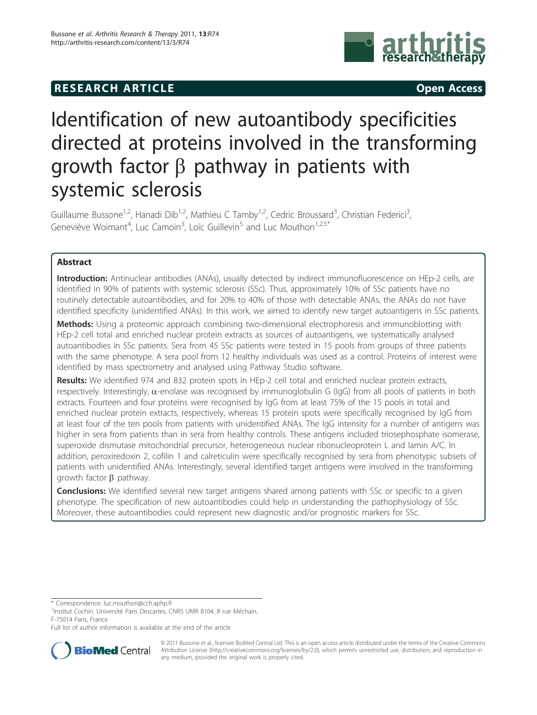## **RESEARCH ARTICLE CONSUMING A RESEARCH ARTICLE**



# Identification of new autoantibody specificities directed at proteins involved in the transforming growth factor  $\beta$  pathway in patients with systemic sclerosis

Guillaume Bussone<sup>1,2</sup>, Hanadi Dib<sup>1,2</sup>, Mathieu C Tamby<sup>1,2</sup>, Cedric Broussard<sup>3</sup>, Christian Federici<sup>3</sup> , Geneviève Woimant<sup>4</sup>, Luc Camoin<sup>3</sup>, Loïc Guillevin<sup>5</sup> and Luc Mouthon<sup>1,2,5\*</sup>

## Abstract

Introduction: Antinuclear antibodies (ANAs), usually detected by indirect immunofluorescence on HEp-2 cells, are identified in 90% of patients with systemic sclerosis (SSc). Thus, approximately 10% of SSc patients have no routinely detectable autoantibodies, and for 20% to 40% of those with detectable ANAs, the ANAs do not have identified specificity (unidentified ANAs). In this work, we aimed to identify new target autoantigens in SSc patients.

Methods: Using a proteomic approach combining two-dimensional electrophoresis and immunoblotting with HEp-2 cell total and enriched nuclear protein extracts as sources of autoantigens, we systematically analysed autoantibodies in SSc patients. Sera from 45 SSc patients were tested in 15 pools from groups of three patients with the same phenotype. A sera pool from 12 healthy individuals was used as a control. Proteins of interest were identified by mass spectrometry and analysed using Pathway Studio software.

Results: We identified 974 and 832 protein spots in HEp-2 cell total and enriched nuclear protein extracts, respectively. Interestingly,  $\alpha$ -enolase was recognised by immunoglobulin G (IgG) from all pools of patients in both extracts. Fourteen and four proteins were recognised by IgG from at least 75% of the 15 pools in total and enriched nuclear protein extracts, respectively, whereas 15 protein spots were specifically recognised by IgG from at least four of the ten pools from patients with unidentified ANAs. The IgG intensity for a number of antigens was higher in sera from patients than in sera from healthy controls. These antigens included triosephosphate isomerase, superoxide dismutase mitochondrial precursor, heterogeneous nuclear ribonucleoprotein L and lamin A/C. In addition, peroxiredoxin 2, cofilin 1 and calreticulin were specifically recognised by sera from phenotypic subsets of patients with unidentified ANAs. Interestingly, several identified target antigens were involved in the transforming growth factor  $\beta$  pathway.

**Conclusions:** We identified several new target antigens shared among patients with SSc or specific to a given phenotype. The specification of new autoantibodies could help in understanding the pathophysiology of SSc. Moreover, these autoantibodies could represent new diagnostic and/or prognostic markers for SSc.

\* Correspondence: [luc.mouthon@cch.aphp.fr](mailto:luc.mouthon@cch.aphp.fr)

<sup>1</sup>Institut Cochin, Université Paris Descartes, CNRS UMR 8104, 8 rue Méchain, F-75014 Paris, France

Full list of author information is available at the end of the article



© 2011 Bussone et al.; licensee BioMed Central Ltd. This is an open access article distributed under the terms of the Creative Commons Attribution License [\(http://creativecommons.org/licenses/by/2.0](http://creativecommons.org/licenses/by/2.0)), which permits unrestricted use, distribution, and reproduction in any medium, provided the original work is properly cited.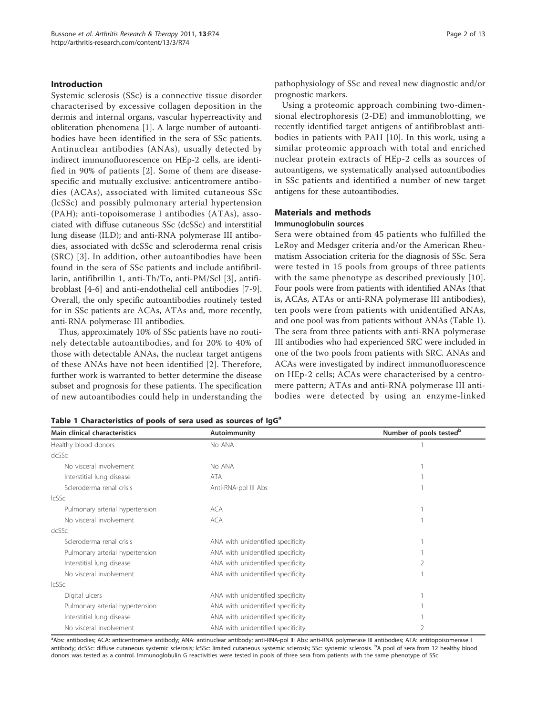#### Introduction

Systemic sclerosis (SSc) is a connective tissue disorder characterised by excessive collagen deposition in the dermis and internal organs, vascular hyperreactivity and obliteration phenomena [[1\]](#page-10-0). A large number of autoantibodies have been identified in the sera of SSc patients. Antinuclear antibodies (ANAs), usually detected by indirect immunofluorescence on HEp-2 cells, are identified in 90% of patients [[2\]](#page-10-0). Some of them are diseasespecific and mutually exclusive: anticentromere antibodies (ACAs), associated with limited cutaneous SSc (lcSSc) and possibly pulmonary arterial hypertension (PAH); anti-topoisomerase I antibodies (ATAs), associated with diffuse cutaneous SSc (dcSSc) and interstitial lung disease (ILD); and anti-RNA polymerase III antibodies, associated with dcSSc and scleroderma renal crisis (SRC) [\[3\]](#page-10-0). In addition, other autoantibodies have been found in the sera of SSc patients and include antifibrillarin, antifibrillin 1, anti-Th/To, anti-PM/Scl [[3\]](#page-10-0), antifibroblast [[4-6\]](#page-10-0) and anti-endothelial cell antibodies [[7-9](#page-10-0)]. Overall, the only specific autoantibodies routinely tested for in SSc patients are ACAs, ATAs and, more recently, anti-RNA polymerase III antibodies.

Thus, approximately 10% of SSc patients have no routinely detectable autoantibodies, and for 20% to 40% of those with detectable ANAs, the nuclear target antigens of these ANAs have not been identified [[2](#page-10-0)]. Therefore, further work is warranted to better determine the disease subset and prognosis for these patients. The specification of new autoantibodies could help in understanding the pathophysiology of SSc and reveal new diagnostic and/or prognostic markers.

Using a proteomic approach combining two-dimensional electrophoresis (2-DE) and immunoblotting, we recently identified target antigens of antifibroblast antibodies in patients with PAH [[10\]](#page-10-0). In this work, using a similar proteomic approach with total and enriched nuclear protein extracts of HEp-2 cells as sources of autoantigens, we systematically analysed autoantibodies in SSc patients and identified a number of new target antigens for these autoantibodies.

## Materials and methods

#### Immunoglobulin sources

Sera were obtained from 45 patients who fulfilled the LeRoy and Medsger criteria and/or the American Rheumatism Association criteria for the diagnosis of SSc. Sera were tested in 15 pools from groups of three patients with the same phenotype as described previously [[10\]](#page-10-0). Four pools were from patients with identified ANAs (that is, ACAs, ATAs or anti-RNA polymerase III antibodies), ten pools were from patients with unidentified ANAs, and one pool was from patients without ANAs (Table 1). The sera from three patients with anti-RNA polymerase III antibodies who had experienced SRC were included in one of the two pools from patients with SRC. ANAs and ACAs were investigated by indirect immunofluorescence on HEp-2 cells; ACAs were characterised by a centromere pattern; ATAs and anti-RNA polymerase III antibodies were detected by using an enzyme-linked

| Table 1 Characteristics of pools of sera used as sources of IgG <sup>a</sup> |  |  |  |  |  |  |  |
|------------------------------------------------------------------------------|--|--|--|--|--|--|--|
|------------------------------------------------------------------------------|--|--|--|--|--|--|--|

| Main clinical characteristics   | Autoimmunity                      | Number of pools tested <sup>b</sup> |  |  |
|---------------------------------|-----------------------------------|-------------------------------------|--|--|
| Healthy blood donors            | No ANA                            |                                     |  |  |
| dcSSc                           |                                   |                                     |  |  |
| No visceral involvement         | No ANA                            |                                     |  |  |
| Interstitial lung disease       | ATA                               |                                     |  |  |
| Scleroderma renal crisis        | Anti-RNA-pol III Abs              |                                     |  |  |
| <b>IcSSc</b>                    |                                   |                                     |  |  |
| Pulmonary arterial hypertension | ACA                               |                                     |  |  |
| No visceral involvement         | ACA                               |                                     |  |  |
| dcSSc                           |                                   |                                     |  |  |
| Scleroderma renal crisis        | ANA with unidentified specificity |                                     |  |  |
| Pulmonary arterial hypertension | ANA with unidentified specificity |                                     |  |  |
| Interstitial lung disease       | ANA with unidentified specificity |                                     |  |  |
| No visceral involvement         | ANA with unidentified specificity |                                     |  |  |
| <b>IcSSc</b>                    |                                   |                                     |  |  |
| Digital ulcers                  | ANA with unidentified specificity |                                     |  |  |
| Pulmonary arterial hypertension | ANA with unidentified specificity |                                     |  |  |
| Interstitial lung disease       | ANA with unidentified specificity |                                     |  |  |
| No visceral involvement         | ANA with unidentified specificity |                                     |  |  |

a Abs: antibodies; ACA: anticentromere antibody; ANA: antinuclear antibody; anti-RNA-pol III Abs: anti-RNA polymerase III antibodies; ATA: antitopoisomerase I antibody; dcSSc: diffuse cutaneous systemic sclerosis; lcSSc: limited cutaneous systemic sclerosis; SSc: systemic sclerosis. <sup>b</sup>A pool of sera from 12 healthy blood donors was tested as a control. Immunoglobulin G reactivities were tested in pools of three sera from patients with the same phenotype of SSc.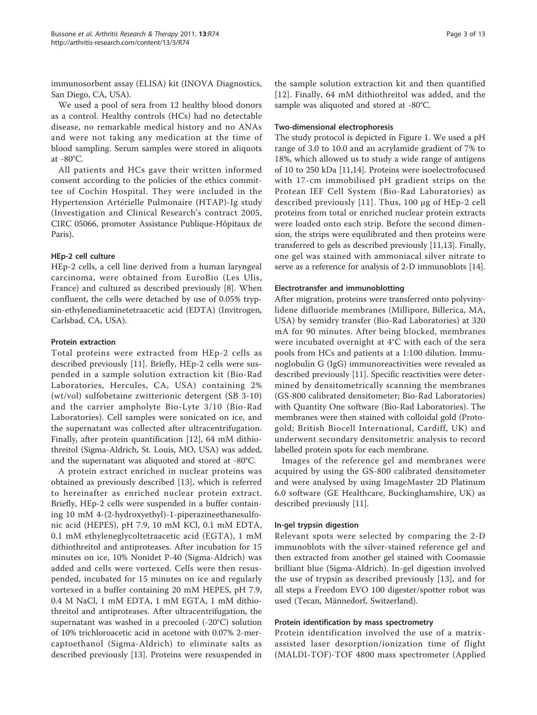immunosorbent assay (ELISA) kit (INOVA Diagnostics, San Diego, CA, USA).

We used a pool of sera from 12 healthy blood donors as a control. Healthy controls (HCs) had no detectable disease, no remarkable medical history and no ANAs and were not taking any medication at the time of blood sampling. Serum samples were stored in aliquots at -80°C.

All patients and HCs gave their written informed consent according to the policies of the ethics committee of Cochin Hospital. They were included in the Hypertension Artérielle Pulmonaire (HTAP)-Ig study (Investigation and Clinical Research's contract 2005, CIRC 05066, promoter Assistance Publique-Hôpitaux de Paris).

## HEp-2 cell culture

HEp-2 cells, a cell line derived from a human laryngeal carcinoma, were obtained from EuroBio (Les Ulis, France) and cultured as described previously [\[8](#page-10-0)]. When confluent, the cells were detached by use of 0.05% trypsin-ethylenediaminetetraacetic acid (EDTA) (Invitrogen, Carlsbad, CA, USA).

#### Protein extraction

Total proteins were extracted from HEp-2 cells as described previously [[11\]](#page-11-0). Briefly, HEp-2 cells were suspended in a sample solution extraction kit (Bio-Rad Laboratories, Hercules, CA, USA) containing 2% (wt/vol) sulfobetaine zwitterionic detergent (SB 3-10) and the carrier ampholyte Bio-Lyte 3/10 (Bio-Rad Laboratories). Cell samples were sonicated on ice, and the supernatant was collected after ultracentrifugation. Finally, after protein quantification [[12\]](#page-11-0), 64 mM dithiothreitol (Sigma-Aldrich, St. Louis, MO, USA) was added, and the supernatant was aliquoted and stored at -80°C.

A protein extract enriched in nuclear proteins was obtained as previously described [\[13](#page-11-0)], which is referred to hereinafter as enriched nuclear protein extract. Briefly, HEp-2 cells were suspended in a buffer containing 10 mM 4-(2-hydroxyethyl)-1-piperazineethanesulfonic acid (HEPES), pH 7.9, 10 mM KCl, 0.1 mM EDTA, 0.1 mM ethyleneglycoltetraacetic acid (EGTA), 1 mM dithiothreitol and antiproteases. After incubation for 15 minutes on ice, 10% Nonidet P-40 (Sigma-Aldrich) was added and cells were vortexed. Cells were then resuspended, incubated for 15 minutes on ice and regularly vortexed in a buffer containing 20 mM HEPES, pH 7.9, 0.4 M NaCl, 1 mM EDTA, 1 mM EGTA, 1 mM dithiothreitol and antiproteases. After ultracentrifugation, the supernatant was washed in a precooled (-20°C) solution of 10% trichloroacetic acid in acetone with 0.07% 2-mercaptoethanol (Sigma-Aldrich) to eliminate salts as described previously [\[13](#page-11-0)]. Proteins were resuspended in

the sample solution extraction kit and then quantified [[12](#page-11-0)]. Finally, 64 mM dithiothreitol was added, and the sample was aliquoted and stored at -80°C.

#### Two-dimensional electrophoresis

The study protocol is depicted in Figure [1](#page-3-0). We used a pH range of 3.0 to 10.0 and an acrylamide gradient of 7% to 18%, which allowed us to study a wide range of antigens of 10 to 250 kDa [\[11,14](#page-11-0)]. Proteins were isoelectrofocused with 17-cm immobilised pH gradient strips on the Protean IEF Cell System (Bio-Rad Laboratories) as described previously [[11](#page-11-0)]. Thus, 100 μg of HEp-2 cell proteins from total or enriched nuclear protein extracts were loaded onto each strip. Before the second dimension, the strips were equilibrated and then proteins were transferred to gels as described previously [[11,13\]](#page-11-0). Finally, one gel was stained with ammoniacal silver nitrate to serve as a reference for analysis of 2-D immunoblots [\[14](#page-11-0)].

## Electrotransfer and immunoblotting

After migration, proteins were transferred onto polyvinylidene difluoride membranes (Millipore, Billerica, MA, USA) by semidry transfer (Bio-Rad Laboratories) at 320 mA for 90 minutes. After being blocked, membranes were incubated overnight at 4°C with each of the sera pools from HCs and patients at a 1:100 dilution. Immunoglobulin G (IgG) immunoreactivities were revealed as described previously [[11](#page-11-0)]. Specific reactivities were determined by densitometrically scanning the membranes (GS-800 calibrated densitometer; Bio-Rad Laboratories) with Quantity One software (Bio-Rad Laboratories). The membranes were then stained with colloidal gold (Protogold; British Biocell International, Cardiff, UK) and underwent secondary densitometric analysis to record labelled protein spots for each membrane.

Images of the reference gel and membranes were acquired by using the GS-800 calibrated densitometer and were analysed by using ImageMaster 2D Platinum 6.0 software (GE Healthcare, Buckinghamshire, UK) as described previously [\[11\]](#page-11-0).

#### In-gel trypsin digestion

Relevant spots were selected by comparing the 2-D immunoblots with the silver-stained reference gel and then extracted from another gel stained with Coomassie brilliant blue (Sigma-Aldrich). In-gel digestion involved the use of trypsin as described previously [[13\]](#page-11-0), and for all steps a Freedom EVO 100 digester/spotter robot was used (Tecan, Männedorf, Switzerland).

#### Protein identification by mass spectrometry

Protein identification involved the use of a matrixassisted laser desorption/ionization time of flight (MALDI-TOF)-TOF 4800 mass spectrometer (Applied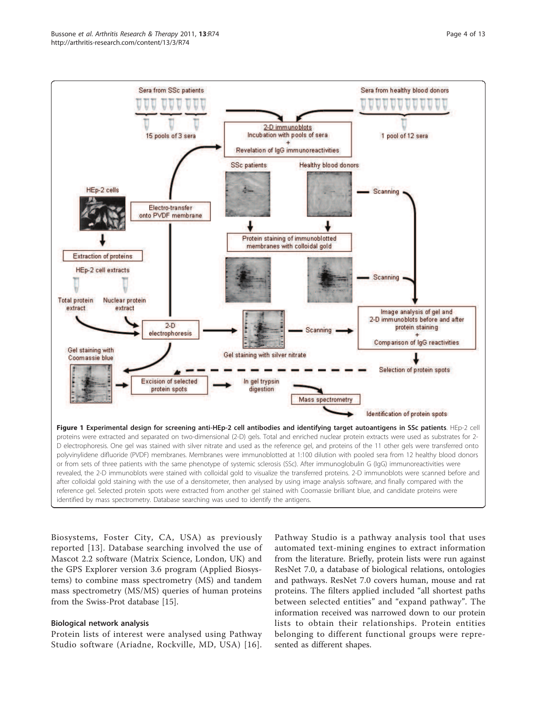<span id="page-3-0"></span>

Biosystems, Foster City, CA, USA) as previously reported [[13\]](#page-11-0). Database searching involved the use of Mascot 2.2 software (Matrix Science, London, UK) and the GPS Explorer version 3.6 program (Applied Biosystems) to combine mass spectrometry (MS) and tandem mass spectrometry (MS/MS) queries of human proteins from the Swiss-Prot database [[15\]](#page-11-0).

#### Biological network analysis

Protein lists of interest were analysed using Pathway Studio software (Ariadne, Rockville, MD, USA) [[16\]](#page-11-0).

Pathway Studio is a pathway analysis tool that uses automated text-mining engines to extract information from the literature. Briefly, protein lists were run against ResNet 7.0, a database of biological relations, ontologies and pathways. ResNet 7.0 covers human, mouse and rat proteins. The filters applied included "all shortest paths between selected entities" and "expand pathway". The information received was narrowed down to our protein lists to obtain their relationships. Protein entities belonging to different functional groups were represented as different shapes.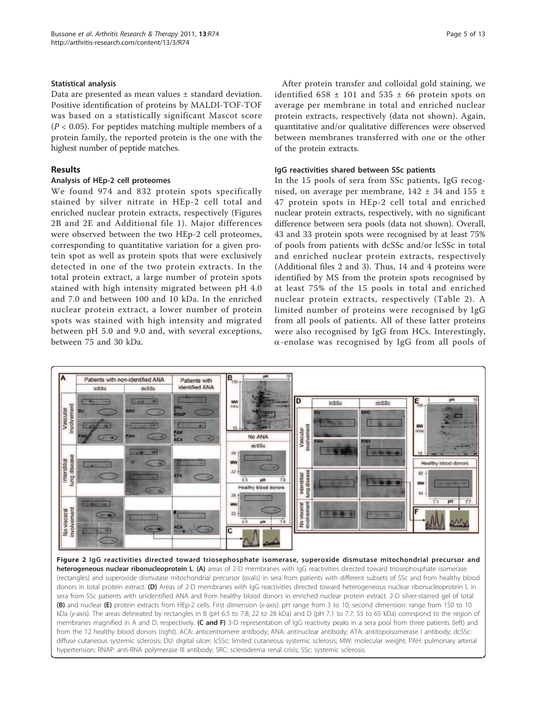#### <span id="page-4-0"></span>Statistical analysis

Data are presented as mean values ± standard deviation. Positive identification of proteins by MALDI-TOF-TOF was based on a statistically significant Mascot score  $(P < 0.05)$ . For peptides matching multiple members of a protein family, the reported protein is the one with the highest number of peptide matches.

#### Results

#### Analysis of HEp-2 cell proteomes

We found 974 and 832 protein spots specifically stained by silver nitrate in HEp-2 cell total and enriched nuclear protein extracts, respectively (Figures 2B and 2E and Additional file [1\)](#page-10-0). Major differences were observed between the two HEp-2 cell proteomes, corresponding to quantitative variation for a given protein spot as well as protein spots that were exclusively detected in one of the two protein extracts. In the total protein extract, a large number of protein spots stained with high intensity migrated between pH 4.0 and 7.0 and between 100 and 10 kDa. In the enriched nuclear protein extract, a lower number of protein spots was stained with high intensity and migrated between pH 5.0 and 9.0 and, with several exceptions, between 75 and 30 kDa.

After protein transfer and colloidal gold staining, we identified  $658 \pm 101$  and  $535 \pm 66$  protein spots on average per membrane in total and enriched nuclear protein extracts, respectively (data not shown). Again, quantitative and/or qualitative differences were observed between membranes transferred with one or the other of the protein extracts.

#### IgG reactivities shared between SSc patients

In the 15 pools of sera from SSc patients, IgG recognised, on average per membrane,  $142 \pm 34$  and  $155 \pm 12$ 47 protein spots in HEp-2 cell total and enriched nuclear protein extracts, respectively, with no significant difference between sera pools (data not shown). Overall, 43 and 33 protein spots were recognised by at least 75% of pools from patients with dcSSc and/or lcSSc in total and enriched nuclear protein extracts, respectively (Additional files [2](#page-10-0) and [3](#page-10-0)). Thus, 14 and 4 proteins were identified by MS from the protein spots recognised by at least 75% of the 15 pools in total and enriched nuclear protein extracts, respectively (Table [2\)](#page-5-0). A limited number of proteins were recognised by IgG from all pools of patients. All of these latter proteins were also recognised by IgG from HCs. Interestingly,  $\alpha$ -enolase was recognised by IgG from all pools of



Figure 2 IgG reactivities directed toward triosephosphate isomerase, superoxide dismutase mitochondrial precursor and heterogeneous nuclear ribonucleoprotein L. (A) areas of 2-D membranes with IgG reactivities directed toward triosephosphate isomerase (rectangles) and superoxide dismutase mitochondrial precursor (ovals) in sera from patients with different subsets of SSc and from healthy blood donors in total protein extract. (D) Areas of 2-D membranes with IgG reactivities directed toward heterogeneous nuclear ribonucleoprotein L in sera from SSc patients with unidentified ANA and from healthy blood donors in enriched nuclear protein extract. 2-D silver-stained gel of total (B) and nuclear (E) protein extracts from HEp-2 cells. First dimension (x-axis): pH range from 3 to 10; second dimension: range from 150 to 10 kDa (y-axis). The areas delineated by rectangles in B (pH 6.5 to 7.8; 22 to 28 kDa) and D (pH 7.1 to 7.7; 55 to 65 kDa) correspond to the region of membranes magnified in A and D, respectively. (C and F) 3-D representation of IgG reactivity peaks in a sera pool from three patients (left) and from the 12 healthy blood donors (right). ACA: anticentromere antibody; ANA: antinuclear antibody; ATA: antitopoisomerase I antibody; dcSSc: diffuse cutaneous systemic sclerosis; DU: digital ulcer; lcSSc: limited cutaneous systemic sclerosis; MW: molecular weight; PAH: pulmonary arterial hypertension; RNAP: anti-RNA polymerase III antibody; SRC: scleroderma renal crisis; SSc: systemic sclerosis.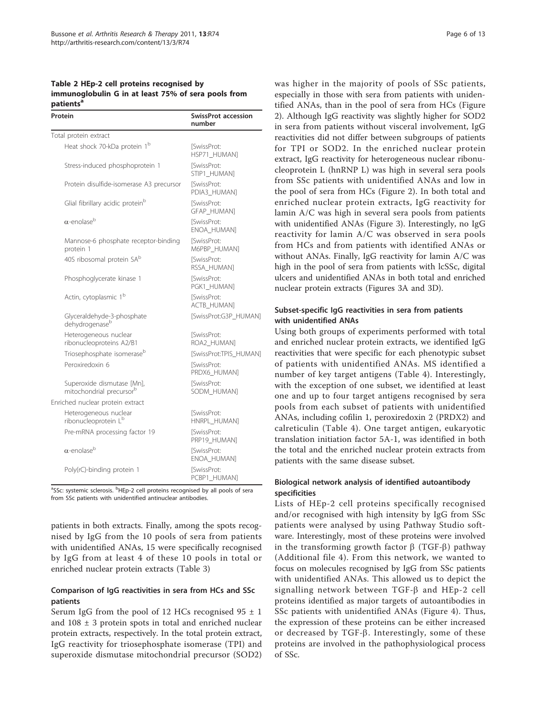<span id="page-5-0"></span>Table 2 HEp-2 cell proteins recognised by immunoglobulin G in at least 75% of sera pools from patients<sup>a</sup>

| Protein                                                            | <b>SwissProt accession</b><br>number    |
|--------------------------------------------------------------------|-----------------------------------------|
| Total protein extract                                              |                                         |
| Heat shock 70-kDa protein 1 <sup>b</sup>                           | <b>SwissProt:</b><br>HSP71_HUMAN]       |
| Stress-induced phosphoprotein 1                                    | [SwissProt:<br>STIP1_HUMAN]             |
| Protein disulfide-isomerase A3 precursor                           | [SwissProt:<br>PDIA3 HUMAN]             |
| Glial fibrillary acidic protein <sup>b</sup>                       | <b>SwissProt:</b><br><b>GFAP HUMAN1</b> |
| $\alpha$ -enolase <sup>b</sup>                                     | <b>SwissProt:</b><br>ENOA HUMANI        |
| Mannose-6 phosphate receptor-binding<br>protein 1                  | [SwissProt:<br>M6PBP_HUMAN]             |
| 40S ribosomal protein SA <sup>b</sup>                              | [SwissProt:<br>RSSA HUMANI              |
| Phosphoglycerate kinase 1                                          | [SwissProt:<br>PGK1_HUMAN]              |
| Actin, cytoplasmic 1 <sup>b</sup>                                  | [SwissProt:<br><b>ACTB HUMAN]</b>       |
| Glyceraldehyde-3-phosphate<br>dehydrogenaseb                       | [SwissProt:G3P HUMAN]                   |
| Heterogeneous nuclear<br>ribonucleoproteins A2/B1                  | [SwissProt:<br>ROA2 HUMAN]              |
| Triosephosphate isomerase <sup>b</sup>                             | [SwissProt:TPIS HUMAN]                  |
| Peroxiredoxin 6                                                    | [SwissProt:<br>PRDX6 HUMAN]             |
| Superoxide dismutase [Mn],<br>mitochondrial precursor <sup>b</sup> | [SwissProt:<br>SODM_HUMAN]              |
| Enriched nuclear protein extract                                   |                                         |
| Heterogeneous nuclear<br>ribonucleoprotein L <sup>b</sup>          | [SwissProt:<br>HNRPL HUMAN]             |
| Pre-mRNA processing factor 19                                      | [SwissProt:<br>PRP19 HUMAN]             |
| $\alpha$ -enolase <sup>b</sup>                                     | [SwissProt:<br>ENOA HUMANI              |
| Poly(rC)-binding protein 1                                         | [SwissProt:<br>PCBP1 HUMAN]             |

<sup>a</sup>SSc: systemic sclerosis. <sup>b</sup>HEp-2 cell proteins recognised by all pools of sera from SSc patients with unidentified antinuclear antibodies.

patients in both extracts. Finally, among the spots recognised by IgG from the 10 pools of sera from patients with unidentified ANAs, 15 were specifically recognised by IgG from at least 4 of these 10 pools in total or enriched nuclear protein extracts (Table [3](#page-6-0))

## Comparison of IgG reactivities in sera from HCs and SSc patients

Serum IgG from the pool of 12 HCs recognised  $95 \pm 1$ and 108 ± 3 protein spots in total and enriched nuclear protein extracts, respectively. In the total protein extract, IgG reactivity for triosephosphate isomerase (TPI) and superoxide dismutase mitochondrial precursor (SOD2) was higher in the majority of pools of SSc patients, especially in those with sera from patients with unidentified ANAs, than in the pool of sera from HCs (Figure [2\)](#page-4-0). Although IgG reactivity was slightly higher for SOD2 in sera from patients without visceral involvement, IgG reactivities did not differ between subgroups of patients for TPI or SOD2. In the enriched nuclear protein extract, IgG reactivity for heterogeneous nuclear ribonucleoprotein L (hnRNP L) was high in several sera pools from SSc patients with unidentified ANAs and low in the pool of sera from HCs (Figure [2\)](#page-4-0). In both total and enriched nuclear protein extracts, IgG reactivity for lamin A/C was high in several sera pools from patients with unidentified ANAs (Figure [3](#page-7-0)). Interestingly, no IgG reactivity for lamin A/C was observed in sera pools from HCs and from patients with identified ANAs or without ANAs. Finally, IgG reactivity for lamin A/C was high in the pool of sera from patients with lcSSc, digital ulcers and unidentified ANAs in both total and enriched nuclear protein extracts (Figures [3A](#page-7-0) and [3D\)](#page-7-0).

## Subset-specific IgG reactivities in sera from patients with unidentified ANAs

Using both groups of experiments performed with total and enriched nuclear protein extracts, we identified IgG reactivities that were specific for each phenotypic subset of patients with unidentified ANAs. MS identified a number of key target antigens (Table [4\)](#page-8-0). Interestingly, with the exception of one subset, we identified at least one and up to four target antigens recognised by sera pools from each subset of patients with unidentified ANAs, including cofilin 1, peroxiredoxin 2 (PRDX2) and calreticulin (Table [4](#page-8-0)). One target antigen, eukaryotic translation initiation factor 5A-1, was identified in both the total and the enriched nuclear protein extracts from patients with the same disease subset.

## Biological network analysis of identified autoantibody specificities

Lists of HEp-2 cell proteins specifically recognised and/or recognised with high intensity by IgG from SSc patients were analysed by using Pathway Studio software. Interestingly, most of these proteins were involved in the transforming growth factor  $\beta$  (TGF- $\beta$ ) pathway (Additional file [4](#page-10-0)). From this network, we wanted to focus on molecules recognised by IgG from SSc patients with unidentified ANAs. This allowed us to depict the signalling network between  $TGF-\beta$  and HEp-2 cell proteins identified as major targets of autoantibodies in SSc patients with unidentified ANAs (Figure [4\)](#page-9-0). Thus, the expression of these proteins can be either increased or decreased by  $TGF- $\beta$ . Interestingly, some of these$ proteins are involved in the pathophysiological process of SSc.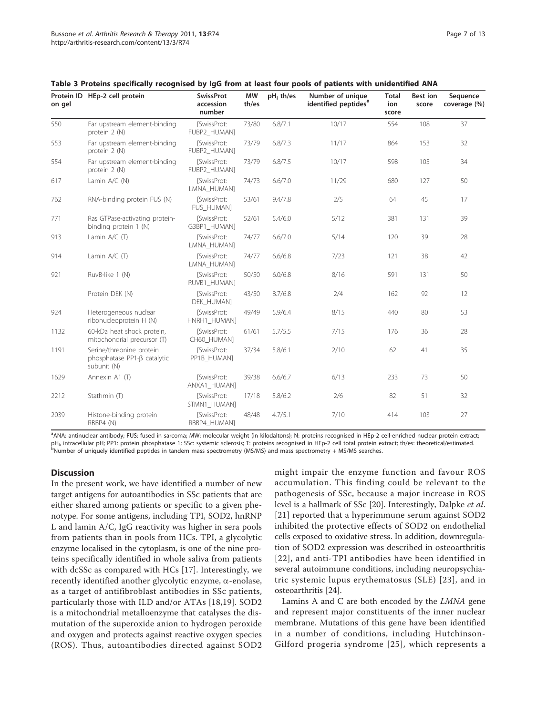| on gel | Protein ID HEp-2 cell protein                                                | <b>SwissProt</b><br>accession<br>number | <b>MW</b><br>th/es | $pH_i$ th/es | Number of unique<br>identified peptides <sup>#</sup> | <b>Total</b><br>ion<br>score | Best ion<br>score | Sequence<br>coverage (%) |
|--------|------------------------------------------------------------------------------|-----------------------------------------|--------------------|--------------|------------------------------------------------------|------------------------------|-------------------|--------------------------|
| 550    | Far upstream element-binding<br>protein 2 (N)                                | [SwissProt:<br>FUBP2_HUMAN]             | 73/80              | 6.8/7.1      | 10/17                                                | 554                          | 108               | 37                       |
| 553    | Far upstream element-binding<br>protein 2 (N)                                | <b>[SwissProt:</b><br>FUBP2_HUMAN]      | 73/79              | 6.8/7.3      | 11/17                                                | 864                          | 153               | 32                       |
| 554    | Far upstream element-binding<br>protein 2 (N)                                | [SwissProt:<br>FUBP2_HUMAN]             | 73/79              | 6.8/7.5      | 10/17                                                | 598                          | 105               | 34                       |
| 617    | Lamin A/C (N)                                                                | [SwissProt:<br>LMNA HUMAN]              | 74/73              | 6.6/7.0      | 11/29                                                | 680                          | 127               | 50                       |
| 762    | RNA-binding protein FUS (N)                                                  | [SwissProt:<br>FUS HUMAN]               | 53/61              | 9.4/7.8      | 2/5                                                  | 64                           | 45                | 17                       |
| 771    | Ras GTPase-activating protein-<br>binding protein 1 (N)                      | [SwissProt:<br>G3BP1_HUMAN]             | 52/61              | 5.4/6.0      | 5/12                                                 | 381                          | 131               | 39                       |
| 913    | Lamin $A/C(T)$                                                               | <b>ISwissProt:</b><br>LMNA_HUMAN]       | 74/77              | 6.6/7.0      | 5/14                                                 | 120                          | 39                | 28                       |
| 914    | Lamin $A/C(T)$                                                               | [SwissProt:<br>LMNA_HUMAN]              | 74/77              | 6.6/6.8      | 7/23                                                 | 121                          | 38                | 42                       |
| 921    | RuvB-like 1 (N)                                                              | <b>[SwissProt:</b><br>RUVB1_HUMAN]      | 50/50              | 6.0/6.8      | 8/16                                                 | 591                          | 131               | 50                       |
|        | Protein DEK (N)                                                              | [SwissProt:<br>DEK HUMAN]               | 43/50              | 8.7/6.8      | 2/4                                                  | 162                          | 92                | 12                       |
| 924    | Heterogeneous nuclear<br>ribonucleoprotein H (N)                             | [SwissProt:<br>HNRH1_HUMAN]             | 49/49              | 5.9/6.4      | 8/15                                                 | 440                          | 80                | 53                       |
| 1132   | 60-kDa heat shock protein,<br>mitochondrial precursor (T)                    | <b>ISwissProt:</b><br>CH60_HUMAN]       | 61/61              | 5.7/5.5      | 7/15                                                 | 176                          | 36                | 28                       |
| 1191   | Serine/threonine protein<br>phosphatase $PP1-\beta$ catalytic<br>subunit (N) | [SwissProt:<br>PP1B_HUMAN]              | 37/34              | 5.8/6.1      | 2/10                                                 | 62                           | 41                | 35                       |
| 1629   | Annexin A1 (T)                                                               | [SwissProt:<br>ANXA1_HUMAN]             | 39/38              | 6.6/6.7      | 6/13                                                 | 233                          | 73                | 50                       |
| 2212   | Stathmin (T)                                                                 | [SwissProt:<br>STMN1_HUMAN]             | 17/18              | 5.8/6.2      | 2/6                                                  | 82                           | 51                | 32                       |
| 2039   | Histone-binding protein<br>RBBP4 (N)                                         | [SwissProt:<br>RBBP4 HUMAN]             | 48/48              | 4.7/5.1      | 7/10                                                 | 414                          | 103               | 27                       |

<span id="page-6-0"></span>

|  |  |  | Table 3 Proteins specifically recognised by IgG from at least four pools of patients with unidentified ANA |
|--|--|--|------------------------------------------------------------------------------------------------------------|
|--|--|--|------------------------------------------------------------------------------------------------------------|

a<br>ANA: antinuclear antibody; FUS: fused in sarcoma; MW: molecular weight (in kilodaltons); N: proteins recognised in HEp-2 cell-enriched nuclear protein extract; pH<sub>i</sub>, intracellular pH; PP1: protein phosphatase 1; SSc: systemic sclerosis; T: proteins recognised in HEp-2 cell total protein extract; th/es: theoretical/estimated<br><sup>b</sup>Number of uniquely identified peptides in tandem mas

#### **Discussion**

In the present work, we have identified a number of new target antigens for autoantibodies in SSc patients that are either shared among patients or specific to a given phenotype. For some antigens, including TPI, SOD2, hnRNP L and lamin A/C, IgG reactivity was higher in sera pools from patients than in pools from HCs. TPI, a glycolytic enzyme localised in the cytoplasm, is one of the nine proteins specifically identified in whole saliva from patients with dcSSc as compared with HCs [[17](#page-11-0)]. Interestingly, we recently identified another glycolytic enzyme,  $\alpha$ -enolase, as a target of antifibroblast antibodies in SSc patients, particularly those with ILD and/or ATAs [[18,19](#page-11-0)]. SOD2 is a mitochondrial metalloenzyme that catalyses the dismutation of the superoxide anion to hydrogen peroxide and oxygen and protects against reactive oxygen species (ROS). Thus, autoantibodies directed against SOD2 might impair the enzyme function and favour ROS accumulation. This finding could be relevant to the pathogenesis of SSc, because a major increase in ROS level is a hallmark of SSc [[20](#page-11-0)]. Interestingly, Dalpke et al. [[21](#page-11-0)] reported that a hyperimmune serum against SOD2 inhibited the protective effects of SOD2 on endothelial cells exposed to oxidative stress. In addition, downregulation of SOD2 expression was described in osteoarthritis [[22\]](#page-11-0), and anti-TPI antibodies have been identified in several autoimmune conditions, including neuropsychiatric systemic lupus erythematosus (SLE) [[23](#page-11-0)], and in osteoarthritis [\[24\]](#page-11-0).

Lamins A and C are both encoded by the LMNA gene and represent major constituents of the inner nuclear membrane. Mutations of this gene have been identified in a number of conditions, including Hutchinson-Gilford progeria syndrome [[25\]](#page-11-0), which represents a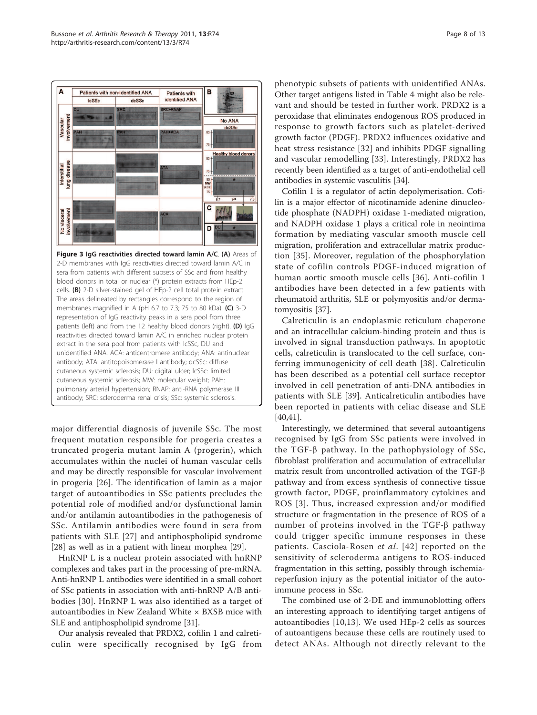<span id="page-7-0"></span>

major differential diagnosis of juvenile SSc. The most frequent mutation responsible for progeria creates a truncated progeria mutant lamin A (progerin), which accumulates within the nuclei of human vascular cells and may be directly responsible for vascular involvement in progeria [[26\]](#page-11-0). The identification of lamin as a major target of autoantibodies in SSc patients precludes the potential role of modified and/or dysfunctional lamin and/or antilamin autoantibodies in the pathogenesis of SSc. Antilamin antibodies were found in sera from patients with SLE [[27\]](#page-11-0) and antiphospholipid syndrome [[28\]](#page-11-0) as well as in a patient with linear morphea [\[29\]](#page-11-0).

HnRNP L is a nuclear protein associated with hnRNP complexes and takes part in the processing of pre-mRNA. Anti-hnRNP L antibodies were identified in a small cohort of SSc patients in association with anti-hnRNP A/B antibodies [\[30\]](#page-11-0). HnRNP L was also identified as a target of autoantibodies in New Zealand White × BXSB mice with SLE and antiphospholipid syndrome [\[31\]](#page-11-0).

Our analysis revealed that PRDX2, cofilin 1 and calreticulin were specifically recognised by IgG from phenotypic subsets of patients with unidentified ANAs. Other target antigens listed in Table [4](#page-8-0) might also be relevant and should be tested in further work. PRDX2 is a peroxidase that eliminates endogenous ROS produced in response to growth factors such as platelet-derived growth factor (PDGF). PRDX2 influences oxidative and heat stress resistance [[32](#page-11-0)] and inhibits PDGF signalling and vascular remodelling [[33\]](#page-11-0). Interestingly, PRDX2 has recently been identified as a target of anti-endothelial cell antibodies in systemic vasculitis [[34](#page-11-0)].

Cofilin 1 is a regulator of actin depolymerisation. Cofilin is a major effector of nicotinamide adenine dinucleotide phosphate (NADPH) oxidase 1-mediated migration, and NADPH oxidase 1 plays a critical role in neointima formation by mediating vascular smooth muscle cell migration, proliferation and extracellular matrix production [\[35\]](#page-11-0). Moreover, regulation of the phosphorylation state of cofilin controls PDGF-induced migration of human aortic smooth muscle cells [[36](#page-11-0)]. Anti-cofilin 1 antibodies have been detected in a few patients with rheumatoid arthritis, SLE or polymyositis and/or dermatomyositis [[37](#page-11-0)].

Calreticulin is an endoplasmic reticulum chaperone and an intracellular calcium-binding protein and thus is involved in signal transduction pathways. In apoptotic cells, calreticulin is translocated to the cell surface, conferring immunogenicity of cell death [[38\]](#page-11-0). Calreticulin has been described as a potential cell surface receptor involved in cell penetration of anti-DNA antibodies in patients with SLE [[39\]](#page-11-0). Anticalreticulin antibodies have been reported in patients with celiac disease and SLE [[40,41\]](#page-11-0).

Interestingly, we determined that several autoantigens recognised by IgG from SSc patients were involved in the TGF- $\beta$  pathway. In the pathophysiology of SSc, fibroblast proliferation and accumulation of extracellular matrix result from uncontrolled activation of the TGF- $\beta$ pathway and from excess synthesis of connective tissue growth factor, PDGF, proinflammatory cytokines and ROS [\[3](#page-10-0)]. Thus, increased expression and/or modified structure or fragmentation in the presence of ROS of a number of proteins involved in the  $TGF-\beta$  pathway could trigger specific immune responses in these patients. Casciola-Rosen et al. [[42](#page-11-0)] reported on the sensitivity of scleroderma antigens to ROS-induced fragmentation in this setting, possibly through ischemiareperfusion injury as the potential initiator of the autoimmune process in SSc.

The combined use of 2-DE and immunoblotting offers an interesting approach to identifying target antigens of autoantibodies [\[10](#page-10-0),[13\]](#page-11-0). We used HEp-2 cells as sources of autoantigens because these cells are routinely used to detect ANAs. Although not directly relevant to the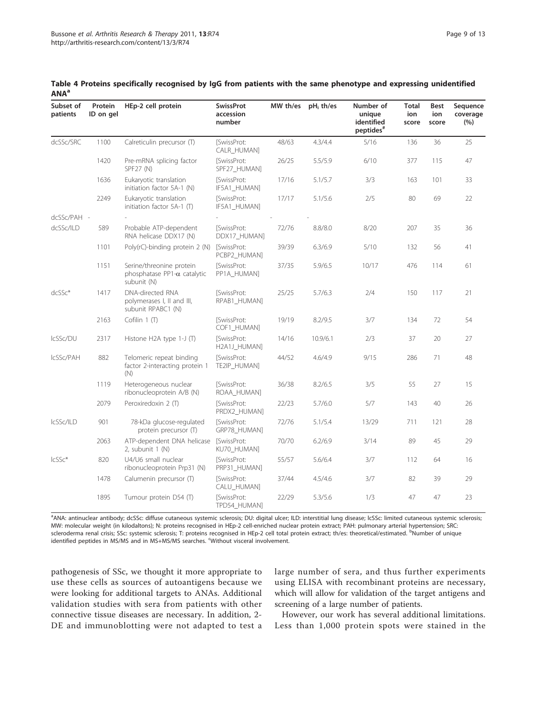| Subset of<br>patients | Protein<br>ID on gel | HEp-2 cell protein                                                             | <b>SwissProt</b><br>accession<br>number | MW th/es | $pH_i$ th/es | Number of<br>unique<br>identified<br>peptides <sup>#</sup> | Total<br>ion<br>score | Best<br>ion<br>score | Sequence<br>coverage<br>(%) |
|-----------------------|----------------------|--------------------------------------------------------------------------------|-----------------------------------------|----------|--------------|------------------------------------------------------------|-----------------------|----------------------|-----------------------------|
| dcSSc/SRC             | 1100                 | Calreticulin precursor (T)                                                     | [SwissProt:<br>CALR_HUMAN]              | 48/63    | 4.3/4.4      | 5/16                                                       | 136                   | 36                   | 25                          |
|                       | 1420                 | Pre-mRNA splicing factor<br>SPF27 (N)                                          | <b>SwissProt:</b><br>SPF27_HUMAN]       | 26/25    | 5.5/5.9      | 6/10                                                       | 377                   | 115                  | 47                          |
|                       | 1636                 | Eukaryotic translation<br>initiation factor 5A-1 (N)                           | [SwissProt:<br>IF5A1_HUMAN]             | 17/16    | 5.1/5.7      | 3/3                                                        | 163                   | 101                  | 33                          |
|                       | 2249                 | Eukaryotic translation<br>initiation factor $5A-1$ (T)                         | <b>ISwissProt:</b><br>IF5A1_HUMAN]      | 17/17    | 5.1/5.6      | 2/5                                                        | 80                    | 69                   | 22                          |
| dcSSc/PAH -           |                      |                                                                                |                                         |          |              |                                                            |                       |                      |                             |
| dcSSc/ILD             | 589                  | Probable ATP-dependent<br>RNA helicase DDX17 (N)                               | [SwissProt:<br>DDX17_HUMAN]             | 72/76    | 8.8/8.0      | 8/20                                                       | 207                   | 35                   | 36                          |
|                       | 1101                 | Poly(rC)-binding protein 2 (N)                                                 | [SwissProt:<br>PCBP2_HUMAN]             | 39/39    | 6.3/6.9      | 5/10                                                       | 132                   | 56                   | 41                          |
|                       | 1151                 | Serine/threonine protein<br>phosphatase PP1- $\alpha$ catalytic<br>subunit (N) | <b>ISwissProt:</b><br>PP1A_HUMAN]       | 37/35    | 5.9/6.5      | 10/17                                                      | 476                   | 114                  | 61                          |
| $dcSSc*$              | 1417                 | <b>DNA-directed RNA</b><br>polymerases I, II and III,<br>subunit RPABC1 (N)    | <b>ISwissProt:</b><br>RPAB1_HUMAN]      | 25/25    | 5.7/6.3      | 2/4                                                        | 150                   | 117                  | 21                          |
|                       | 2163                 | Cofilin 1 (T)                                                                  | <b>ISwissProt:</b><br>COF1_HUMAN]       | 19/19    | 8.2/9.5      | 3/7                                                        | 134                   | 72                   | 54                          |
| IcSSc/DU              | 2317                 | Histone H2A type 1-J (T)                                                       | [SwissProt:<br>H2A1J_HUMAN]             | 14/16    | 10.9/6.1     | 2/3                                                        | 37                    | 20                   | 27                          |
| IcSSc/PAH             | 882                  | Telomeric repeat binding<br>factor 2-interacting protein 1<br>(N)              | [SwissProt:<br>TE2IP_HUMAN]             | 44/52    | 4.6/4.9      | 9/15                                                       | 286                   | 71                   | 48                          |
|                       | 1119                 | Heterogeneous nuclear<br>ribonucleoprotein A/B (N)                             | [SwissProt:<br>ROAA_HUMAN]              | 36/38    | 8.2/6.5      | 3/5                                                        | 55                    | 27                   | 15                          |
|                       | 2079                 | Peroxiredoxin 2 (T)                                                            | [SwissProt:<br>PRDX2_HUMAN]             | 22/23    | 5.7/6.0      | 5/7                                                        | 143                   | 40                   | 26                          |
| IcSSc/ILD             | 901                  | 78-kDa glucose-regulated<br>protein precursor (T)                              | [SwissProt:<br>GRP78_HUMAN]             | 72/76    | 5.1/5.4      | 13/29                                                      | 711                   | 121                  | 28                          |
|                       | 2063                 | ATP-dependent DNA helicase<br>2, subunit 1 (N)                                 | [SwissProt:<br>KU70_HUMAN]              | 70/70    | 6.2/6.9      | 3/14                                                       | 89                    | 45                   | 29                          |
| $lcSSc*$              | 820                  | U4/U6 small nuclear<br>ribonucleoprotein Prp31 (N)                             | <b>SwissProt:</b><br>PRP31_HUMAN]       | 55/57    | 5.6/6.4      | 3/7                                                        | 112                   | 64                   | 16                          |
|                       | 1478                 | Calumenin precursor (T)                                                        | [SwissProt:<br>CALU_HUMAN]              | 37/44    | 4.5/4.6      | 3/7                                                        | 82                    | 39                   | 29                          |
|                       | 1895                 | Tumour protein D54 (T)                                                         | [SwissProt:<br>TPD54_HUMAN]             | 22/29    | 5.3/5.6      | 1/3                                                        | 47                    | 47                   | 23                          |

<span id="page-8-0"></span>Table 4 Proteins specifically recognised by IgG from patients with the same phenotype and expressing unidentified **ANA**<sup>a</sup>

a<br>ANA: antinuclear antibody; dcSSc: diffuse cutaneous systemic sclerosis; DU: digital ulcer; ILD: interstitial lung disease; lcSSc: limited cutaneous systemic sclerosis; MW: molecular weight (in kilodaltons); N: proteins recognised in HEp-2 cell-enriched nuclear protein extract; PAH: pulmonary arterial hypertension; SRC: scleroderma renal crisis; SSc: systemic sclerosis; T: proteins recognised in HEp-2 cell total protein extract; th/es: theoretical/estimated. <sup>b</sup>Number of unique identified peptides in MS/MS and in MS+MS/MS searches. <sup>c</sup>Without visceral involvement.

pathogenesis of SSc, we thought it more appropriate to use these cells as sources of autoantigens because we were looking for additional targets to ANAs. Additional validation studies with sera from patients with other connective tissue diseases are necessary. In addition, 2- DE and immunoblotting were not adapted to test a large number of sera, and thus further experiments using ELISA with recombinant proteins are necessary, which will allow for validation of the target antigens and screening of a large number of patients.

However, our work has several additional limitations. Less than 1,000 protein spots were stained in the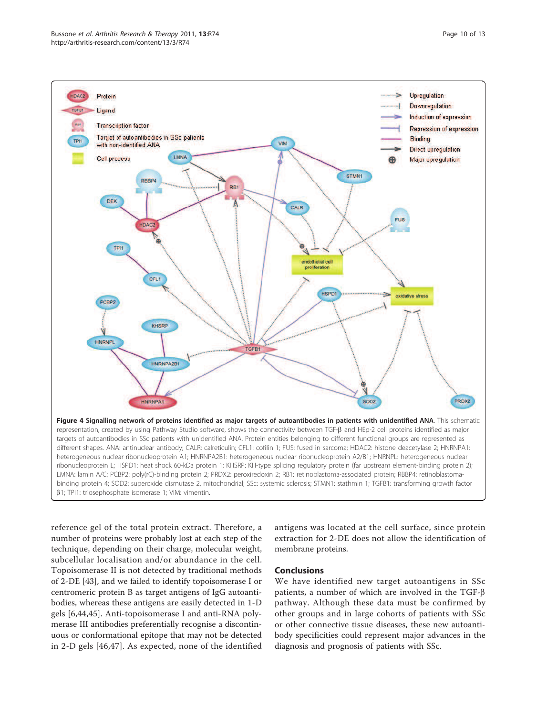<span id="page-9-0"></span>

reference gel of the total protein extract. Therefore, a number of proteins were probably lost at each step of the technique, depending on their charge, molecular weight, subcellular localisation and/or abundance in the cell. Topoisomerase II is not detected by traditional methods of 2-DE [[43](#page-11-0)], and we failed to identify topoisomerase I or centromeric protein B as target antigens of IgG autoantibodies, whereas these antigens are easily detected in 1-D gels [[6,](#page-10-0)[44,45](#page-11-0)]. Anti-topoisomerase I and anti-RNA polymerase III antibodies preferentially recognise a discontinuous or conformational epitope that may not be detected in 2-D gels [[46,47\]](#page-12-0). As expected, none of the identified

antigens was located at the cell surface, since protein extraction for 2-DE does not allow the identification of membrane proteins.

#### Conclusions

We have identified new target autoantigens in SSc patients, a number of which are involved in the TGF- $\beta$ pathway. Although these data must be confirmed by other groups and in large cohorts of patients with SSc or other connective tissue diseases, these new autoantibody specificities could represent major advances in the diagnosis and prognosis of patients with SSc.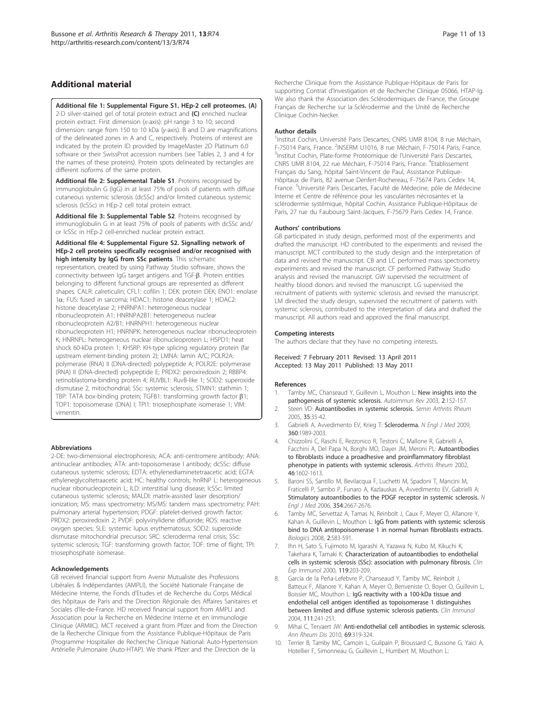## <span id="page-10-0"></span>Additional material

[Additional file 1: S](http://www.biomedcentral.com/content/supplementary/ar3336-S1.JPEG)upplemental Figure S1. HEp-2 cell proteomes. (A)

2-D silver-stained gel of total protein extract and (C) enriched nuclear protein extract. First dimension (x-axis): pH range 3 to 10; second dimension: range from 150 to 10 kDa (y-axis). B and D are magnifications of the delineated zones in A and C, respectively. Proteins of interest are indicated by the protein ID provided by ImageMaster 2D Platinum 6.0 software or their SwissProt accession numbers (see Tables 2, 3 and 4 for the names of these proteins). Protein spots delineated by rectangles are different isoforms of the same protein.

[Additional file 2: S](http://www.biomedcentral.com/content/supplementary/ar3336-S2.DOC)upplemental Table S1. Proteins recognised by immunoglobulin G (IgG) in at least 75% of pools of patients with diffuse cutaneous systemic sclerosis (dcSSc) and/or limited cutaneous systemic sclerosis (lcSSc) in HEp-2 cell total protein extract.

[Additional file 3: S](http://www.biomedcentral.com/content/supplementary/ar3336-S3.DOC)upplemental Table S2. Proteins recognised by immunoglobulin G in at least 75% of pools of patients with dcSSc and/ or lcSSc in HEp-2 cell-enriched nuclear protein extract.

#### [Additional file 4: S](http://www.biomedcentral.com/content/supplementary/ar3336-S4.JPEG)upplemental Figure S2. Signalling network of HEp-2 cell proteins specifically recognised and/or recognised with high intensity by IgG from SSc patients. This schematic

representation, created by using Pathway Studio software, shows the connectivity between IgG target antigens and TGF-B. Protein entities belonging to different functional groups are represented as different shapes. CALR: calreticulin; CFL1: cofilin 1; DEK: protein DEK; ENO1: enolase 1a; FUS: fused in sarcoma; HDAC1: histone deacetylase 1; HDAC2: histone deacetylase 2; HNRNPA1: heterogeneous nuclear ribonucleoprotein A1; HNRNPA2B1: heterogeneous nuclear ribonucleoprotein A2/B1; HNRNPH1: heterogeneous nuclear ribonucleoprotein H1; HNRNPK: heterogeneous nuclear ribonucleoprotein K; HNRNPL: heterogeneous nuclear ribonucleoprotein L; HSPD1: heat shock 60-kDa protein 1; KHSRP: KH-type splicing regulatory protein (far upstream element-binding protein 2); LMNA: lamin A/C; POLR2A: polymerase (RNA) II (DNA-directed) polypeptide A; POLR2E: polymerase (RNA) II (DNA-directed) polypeptide E; PRDX2: peroxiredoxin 2; RBBP4: retinoblastoma-binding protein 4; RUVBL1: RuvB-like 1; SOD2: superoxide dismutase 2, mitochondrial; SSc: systemic sclerosis; STMN1: stathmin 1; TBP: TATA box-binding protein; TGFB1: transforming growth factor  $\beta$ 1; TOP1: topoisomerase (DNA) I; TPI1: triosephosphate isomerase 1; VIM: vimentin.

#### Abbreviations

2-DE: two-dimensional electrophoresis; ACA: anti-centromere antibody; ANA: antinuclear antibodies; ATA: anti-topoisomerase I antibody; dcSSc: diffuse cutaneous systemic sclerosis; EDTA: ethylenediaminetetraacetic acid; EGTA: ethyleneglycoltetraacetic acid; HC: healthy controls; hnRNP L: heterogeneous nuclear ribonucleoprotein L; ILD: interstitial lung disease; lcSSc: limited cutaneous systemic sclerosis; MALDI: matrix-assisted laser desorption/ ionization; MS: mass spectrometry; MS/MS: tandem mass spectrometry; PAH: pulmonary arterial hypertension; PDGF: platelet-derived growth factor; PRDX2: peroxiredoxin 2; PVDF: polyvinylidene difluoride; ROS: reactive oxygen species; SLE: systemic lupus erythematosus; SOD2: superoxide dismutase mitochondrial precursor; SRC: scleroderma renal crisis; SSc: systemic sclerosis; TGF: transforming growth factor; TOF: time of flight; TPI: triosephosphate isomerase.

#### Acknowledgements

GB received financial support from Avenir Mutualiste des Professions Libérales & Indépendantes (AMPLI), the Société Nationale Française de Médecine Interne, the Fonds d'Etudes et de Recherche du Corps Médical des hôpitaux de Paris and the Direction Régionale des Affaires Sanitaires et Sociales d'Ile-de-France. HD received financial support from AMPLI and Association pour la Recherche en Médecine Interne et en Immunologie Clinique (ARMIIC). MCT received a grant from Pfizer and from the Direction de la Recherche Clinique from the Assistance Publique-Hôpitaux de Paris (Programme Hospitalier de Recherche Clinique National: Auto-Hypertension Artérielle Pulmonaire (Auto-HTAP). We thank Pfizer and the Direction de la

Recherche Clinique from the Assistance Publique-Hôpitaux de Paris for supporting Contrat d'Investigation et de Recherche Clinique 05066, HTAP-Ig. We also thank the Association des Sclérodermiques de France, the Groupe Français de Recherche sur la Sclérodermie and the Unité de Recherche Clinique Cochin-Necker.

#### Author details

<sup>1</sup>Institut Cochin, Université Paris Descartes, CNRS UMR 8104, 8 rue Méchain F-75014 Paris, France. <sup>2</sup>INSERM U1016, 8 rue Méchain, F-75014 Paris, France. <sup>3</sup>Institut Cochin, Plate-forme Protéomique de l'Université Paris Descartes, CNRS UMR 8104, 22 rue Méchain, F-75014 Paris, France. <sup>4</sup>Etablissement Français du Sang, hôpital Saint-Vincent de Paul, Assistance Publique-Hôpitaux de Paris, 82 avenue Denfert-Rochereau, F-75674 Paris Cedex 14, France. <sup>5</sup>Université Paris Descartes, Faculté de Médecine, pôle de Médecine Interne et Centre de référence pour les vascularites nécrosantes et la sclérodermie systémique, hôpital Cochin, Assistance Publique-Hôpitaux de Paris, 27 rue du Faubourg Saint-Jacques, F-75679 Paris Cedex 14, France.

#### Authors' contributions

GB participated in study design, performed most of the experiments and drafted the manuscript. HD contributed to the experiments and revised the manuscript. MCT contributed to the study design and the interpretation of data and revised the manuscript. CB and LC performed mass spectrometry experiments and revised the manuscript. CF performed Pathway Studio analysis and revised the manuscript. GW supervised the recruitment of healthy blood donors and revised the manuscript. LG supervised the recruitment of patients with systemic sclerosis and revised the manuscript. LM directed the study design, supervised the recruitment of patients with systemic sclerosis, contributed to the interpretation of data and drafted the manuscript. All authors read and approved the final manuscript.

#### Competing interests

The authors declare that they have no competing interests.

Received: 7 February 2011 Revised: 13 April 2011 Accepted: 13 May 2011 Published: 13 May 2011

#### References

- 1. Tamby MC, Chanseaud Y, Guillevin L, Mouthon L: [New insights into the](http://www.ncbi.nlm.nih.gov/pubmed/12848956?dopt=Abstract) [pathogenesis of systemic sclerosis.](http://www.ncbi.nlm.nih.gov/pubmed/12848956?dopt=Abstract) Autoimmun Rev 2003, 2:152-157.
- 2. Steen VD: [Autoantibodies in systemic sclerosis.](http://www.ncbi.nlm.nih.gov/pubmed/16084222?dopt=Abstract) Semin Arthritis Rheum 2005, 35:35-42.
- 3. Gabrielli A, Avvedimento EV, Krieg T: [Scleroderma.](http://www.ncbi.nlm.nih.gov/pubmed/19420368?dopt=Abstract) N Engl J Med 2009, 360:1989-2003.
- 4. Chizzolini C, Raschi E, Rezzonico R, Testoni C, Mallone R, Gabrielli A, Facchini A, Del Papa N, Borghi MO, Dayer JM, Meroni PL: [Autoantibodies](http://www.ncbi.nlm.nih.gov/pubmed/12115192?dopt=Abstract) [to fibroblasts induce a proadhesive and proinflammatory fibroblast](http://www.ncbi.nlm.nih.gov/pubmed/12115192?dopt=Abstract) [phenotype in patients with systemic sclerosis.](http://www.ncbi.nlm.nih.gov/pubmed/12115192?dopt=Abstract) Arthritis Rheum 2002, 46:1602-1613.
- 5. Baroni SS, Santillo M, Bevilacqua F, Luchetti M, Spadoni T, Mancini M, Fraticelli P, Sambo P, Funaro A, Kazlauskas A, Avvedimento EV, Gabrielli A: [Stimulatory autoantibodies to the PDGF receptor in systemic sclerosis.](http://www.ncbi.nlm.nih.gov/pubmed/16790699?dopt=Abstract) N Engl J Med 2006, 354:2667-2676.
- 6. Tamby MC, Servettaz A, Tamas N, Reinbolt J, Caux F, Meyer O, Allanore Y, Kahan A, Guillevin L, Mouthon L: [IgG from patients with systemic sclerosis](http://www.ncbi.nlm.nih.gov/pubmed/19707389?dopt=Abstract) [bind to DNA antitopoisomerase 1 in normal human fibroblasts extracts.](http://www.ncbi.nlm.nih.gov/pubmed/19707389?dopt=Abstract) Biologics 2008, 2:583-591.
- 7. Ihn H, Sato S, Fujimoto M, Igarashi A, Yazawa N, Kubo M, Kikuchi K, Takehara K, Tamaki K: [Characterization of autoantibodies to endothelial](http://www.ncbi.nlm.nih.gov/pubmed/10606984?dopt=Abstract) [cells in systemic sclerosis \(SSc\): association with pulmonary fibrosis.](http://www.ncbi.nlm.nih.gov/pubmed/10606984?dopt=Abstract) Clin Exp Immunol 2000, 119:203-209.
- 8. García de la Peña-Lefebvre P, Chanseaud Y, Tamby MC, Reinbolt J, Batteux F, Allanore Y, Kahan A, Meyer O, Benveniste O, Boyer O, Guillevin L, Boissier MC, Mouthon L: [IgG reactivity with a 100-kDa tissue and](http://www.ncbi.nlm.nih.gov/pubmed/15183145?dopt=Abstract) [endothelial cell antigen identified as topoisomerase 1 distinguishes](http://www.ncbi.nlm.nih.gov/pubmed/15183145?dopt=Abstract) [between limited and diffuse systemic sclerosis patients.](http://www.ncbi.nlm.nih.gov/pubmed/15183145?dopt=Abstract) Clin Immunol 2004, 111:241-251.
- 9. Mihai C, Tervaert JW: [Anti-endothelial cell antibodies in systemic sclerosis.](http://www.ncbi.nlm.nih.gov/pubmed/20107031?dopt=Abstract) Ann Rheum Dis 2010, 69:319-324.
- 10. Terrier B, Tamby MC, Camoin L, Guilpain P, Broussard C, Bussone G, Yaici A, Hotellier F, Simonneau G, Guillevin L, Humbert M, Mouthon L: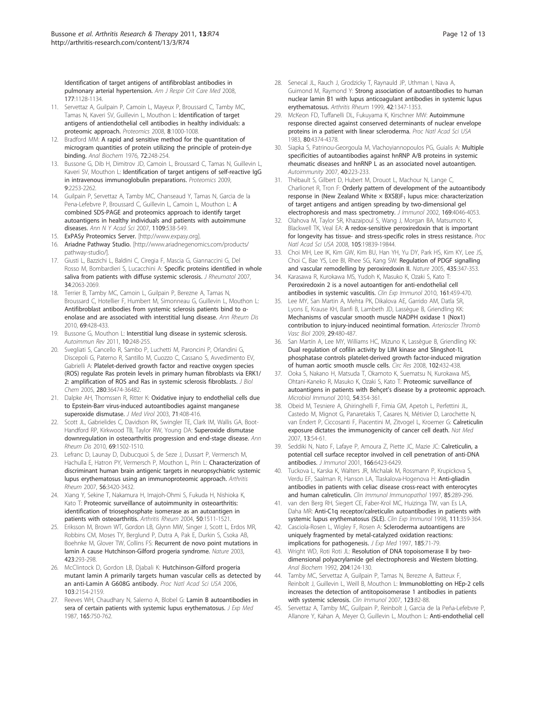<span id="page-11-0"></span>[Identification of target antigens of antifibroblast antibodies in](http://www.ncbi.nlm.nih.gov/pubmed/18276943?dopt=Abstract) [pulmonary arterial hypertension.](http://www.ncbi.nlm.nih.gov/pubmed/18276943?dopt=Abstract) Am J Respir Crit Care Med 2008, 177:1128-1134.

- 11. Servettaz A, Guilpain P, Camoin L, Mayeux P, Broussard C, Tamby MC, Tamas N, Kaveri SV, Guillevin L, Mouthon L: [Identification of target](http://www.ncbi.nlm.nih.gov/pubmed/18240136?dopt=Abstract) [antigens of antiendothelial cell antibodies in healthy individuals: a](http://www.ncbi.nlm.nih.gov/pubmed/18240136?dopt=Abstract) [proteomic approach.](http://www.ncbi.nlm.nih.gov/pubmed/18240136?dopt=Abstract) Proteomics 2008, 8:1000-1008.
- 12. Bradford MM: [A rapid and sensitive method for the quantitation of](http://www.ncbi.nlm.nih.gov/pubmed/942051?dopt=Abstract) [microgram quantities of protein utilizing the principle of protein-dye](http://www.ncbi.nlm.nih.gov/pubmed/942051?dopt=Abstract) [binding.](http://www.ncbi.nlm.nih.gov/pubmed/942051?dopt=Abstract) Anal Biochem 1976, 72:248-254.
- 13. Bussone G, Dib H, Dimitrov JD, Camoin L, Broussard C, Tamas N, Guillevin L, Kaveri SV, Mouthon L: [Identification of target antigens of self-reactive IgG](http://www.ncbi.nlm.nih.gov/pubmed/19296548?dopt=Abstract) [in intravenous immunoglobulin preparations.](http://www.ncbi.nlm.nih.gov/pubmed/19296548?dopt=Abstract) Proteomics 2009, 9:2253-2262.
- 14. Guilpain P, Servettaz A, Tamby MC, Chanseaud Y, Tamas N, Garcia de la Pena-Lefebvre P, Broussard C, Guillevin L, Camoin L, Mouthon L: [A](http://www.ncbi.nlm.nih.gov/pubmed/17785343?dopt=Abstract) [combined SDS-PAGE and proteomics approach to identify target](http://www.ncbi.nlm.nih.gov/pubmed/17785343?dopt=Abstract) [autoantigens in healthy individuals and patients with autoimmune](http://www.ncbi.nlm.nih.gov/pubmed/17785343?dopt=Abstract) [diseases.](http://www.ncbi.nlm.nih.gov/pubmed/17785343?dopt=Abstract) Ann N Y Acad Sci 2007, 1109:538-549.
- 15. ExPASy Proteomics Server. [\[http://www.expasy.org\]](http://www.expasy.org).
- 16. Ariadne Pathway Studio. [\[http://www.ariadnegenomics.com/products/](http://www.ariadnegenomics.com/products/pathway-studio/) [pathway-studio/\]](http://www.ariadnegenomics.com/products/pathway-studio/).
- 17. Giusti L, Bazzichi L, Baldini C, Ciregia F, Mascia G, Giannaccini G, Del Rosso M, Bombardieri S, Lucacchini A: [Specific proteins identified in whole](http://www.ncbi.nlm.nih.gov/pubmed/17722226?dopt=Abstract) [saliva from patients with diffuse systemic sclerosis.](http://www.ncbi.nlm.nih.gov/pubmed/17722226?dopt=Abstract) *J Rheumatol* 2007, 34:2063-2069.
- 18. Terrier B, Tamby MC, Camoin L, Guilpain P, Berezne A, Tamas N, Broussard C, Hotellier F, Humbert M, Simonneau G, Guillevin L, Mouthon L: [Antifibroblast antibodies from systemic sclerosis patients bind to](http://www.ncbi.nlm.nih.gov/pubmed/19293162?dopt=Abstract) α[enolase and are associated with interstitial lung disease.](http://www.ncbi.nlm.nih.gov/pubmed/19293162?dopt=Abstract) Ann Rheum Dis 2010, 69:428-433.
- 19. Bussone G, Mouthon L: [Interstitial lung disease in systemic sclerosis.](http://www.ncbi.nlm.nih.gov/pubmed/20863911?dopt=Abstract) Autoimmun Rev 2011, 10:248-255.
- 20. Svegliati S, Cancello R, Sambo P, Luchetti M, Paroncini P, Orlandini G, Discepoli G, Paterno R, Santillo M, Cuozzo C, Cassano S, Avvedimento EV, Gabrielli A: [Platelet-derived growth factor and reactive oxygen species](http://www.ncbi.nlm.nih.gov/pubmed/16081426?dopt=Abstract) [\(ROS\) regulate Ras protein levels in primary human fibroblasts via ERK1/](http://www.ncbi.nlm.nih.gov/pubmed/16081426?dopt=Abstract) [2: amplification of ROS and Ras in systemic sclerosis fibroblasts.](http://www.ncbi.nlm.nih.gov/pubmed/16081426?dopt=Abstract) J Biol Chem 2005, 280:36474-36482.
- 21. Dalpke AH, Thomssen R, Ritter K: [Oxidative injury to endothelial cells due](http://www.ncbi.nlm.nih.gov/pubmed/12966547?dopt=Abstract) [to Epstein-Barr virus-induced autoantibodies against manganese](http://www.ncbi.nlm.nih.gov/pubmed/12966547?dopt=Abstract) [superoxide dismutase.](http://www.ncbi.nlm.nih.gov/pubmed/12966547?dopt=Abstract) J Med Virol 2003, 71:408-416.
- 22. Scott JL, Gabrielides C, Davidson RK, Swingler TE, Clark IM, Wallis GA, Boot-Handford RP, Kirkwood TB, Taylor RW, Young DA: [Superoxide dismutase](http://www.ncbi.nlm.nih.gov/pubmed/20511611?dopt=Abstract) [downregulation in osteoarthritis progression and end-stage disease.](http://www.ncbi.nlm.nih.gov/pubmed/20511611?dopt=Abstract) Ann Rheum Dis 2010, 69:1502-1510.
- 23. Lefranc D, Launay D, Dubucquoi S, de Seze J, Dussart P, Vermersch M, Hachulla E, Hatron PY, Vermersch P, Mouthon L, Prin L: [Characterization of](http://www.ncbi.nlm.nih.gov/pubmed/17907141?dopt=Abstract) [discriminant human brain antigenic targets in neuropsychiatric systemic](http://www.ncbi.nlm.nih.gov/pubmed/17907141?dopt=Abstract) [lupus erythematosus using an immunoproteomic approach.](http://www.ncbi.nlm.nih.gov/pubmed/17907141?dopt=Abstract) Arthritis Rheum 2007, 56:3420-3432.
- 24. Xiang Y, Sekine T, Nakamura H, Imajoh-Ohmi S, Fukuda H, Nishioka K, Kato T: [Proteomic surveillance of autoimmunity in osteoarthritis:](http://www.ncbi.nlm.nih.gov/pubmed/15146421?dopt=Abstract) [identification of triosephosphate isomerase as an autoantigen in](http://www.ncbi.nlm.nih.gov/pubmed/15146421?dopt=Abstract) [patients with osteoarthritis.](http://www.ncbi.nlm.nih.gov/pubmed/15146421?dopt=Abstract) Arthritis Rheum 2004, 50:1511-1521.
- 25. Eriksson M, Brown WT, Gordon LB, Glynn MW, Singer J, Scott L, Erdos MR, Robbins CM, Moses TY, Berglund P, Dutra A, Pak E, Durkin S, Csoka AB, Boehnke M, Glover TW, Collins FS: [Recurrent de novo point mutations in](http://www.ncbi.nlm.nih.gov/pubmed/12714972?dopt=Abstract) [lamin A cause Hutchinson-Gilford progeria syndrome.](http://www.ncbi.nlm.nih.gov/pubmed/12714972?dopt=Abstract) Nature 2003, 423:293-298.
- 26. McClintock D, Gordon LB, Djabali K: [Hutchinson-Gilford progeria](http://www.ncbi.nlm.nih.gov/pubmed/16461887?dopt=Abstract) [mutant lamin A primarily targets human vascular cells as detected by](http://www.ncbi.nlm.nih.gov/pubmed/16461887?dopt=Abstract) [an anti-Lamin A G608G antibody.](http://www.ncbi.nlm.nih.gov/pubmed/16461887?dopt=Abstract) Proc Natl Acad Sci USA 2006, 103:2154-2159.
- 27. Reeves WH, Chaudhary N, Salerno A, Blobel G: [Lamin B autoantibodies in](http://www.ncbi.nlm.nih.gov/pubmed/3546581?dopt=Abstract) [sera of certain patients with systemic lupus erythematosus.](http://www.ncbi.nlm.nih.gov/pubmed/3546581?dopt=Abstract) *J Exp Med* 1987, 165:750-762.
- 28. Senecal JL, Rauch J, Grodzicky T, Raynauld JP, Uthman I, Nava A, Guimond M, Raymond Y: [Strong association of autoantibodies to human](http://www.ncbi.nlm.nih.gov/pubmed/10403261?dopt=Abstract) [nuclear lamin B1 with lupus anticoagulant antibodies in systemic lupus](http://www.ncbi.nlm.nih.gov/pubmed/10403261?dopt=Abstract) [erythematosus.](http://www.ncbi.nlm.nih.gov/pubmed/10403261?dopt=Abstract) Arthritis Rheum 1999, 42:1347-1353.
- 29. McKeon FD, Tuffanelli DL, Fukuyama K, Kirschner MW: [Autoimmune](http://www.ncbi.nlm.nih.gov/pubmed/6192431?dopt=Abstract) [response directed against conserved determinants of nuclear envelope](http://www.ncbi.nlm.nih.gov/pubmed/6192431?dopt=Abstract) [proteins in a patient with linear scleroderma.](http://www.ncbi.nlm.nih.gov/pubmed/6192431?dopt=Abstract) Proc Natl Acad Sci USA 1983, 80:4374-4378.
- 30. Siapka S, Patrinou-Georgoula M, Vlachoyiannopoulos PG, Guialis A: [Multiple](http://www.ncbi.nlm.nih.gov/pubmed/17453722?dopt=Abstract) [specificities of autoantibodies against hnRNP A/B proteins in systemic](http://www.ncbi.nlm.nih.gov/pubmed/17453722?dopt=Abstract) [rheumatic diseases and hnRNP L as an associated novel autoantigen.](http://www.ncbi.nlm.nih.gov/pubmed/17453722?dopt=Abstract) Autoimmunity 2007, 40:223-233.
- 31. Thébault S, Gilbert D, Hubert M, Drouot L, Machour N, Lange C, Charlionet R, Tron F: [Orderly pattern of development of the autoantibody](http://www.ncbi.nlm.nih.gov/pubmed/12244208?dopt=Abstract) response in (New Zealand White  $\times$  BXSB)F<sub>1</sub> [lupus mice: characterization](http://www.ncbi.nlm.nih.gov/pubmed/12244208?dopt=Abstract) [of target antigens and antigen spreading by two-dimensional gel](http://www.ncbi.nlm.nih.gov/pubmed/12244208?dopt=Abstract) [electrophoresis and mass spectrometry.](http://www.ncbi.nlm.nih.gov/pubmed/12244208?dopt=Abstract) J Immunol 2002, 169:4046-4053.
- 32. Olahova M, Taylor SR, Khazaipoul S, Wang J, Morgan BA, Matsumoto K, Blackwell TK, Veal EA: [A redox-sensitive peroxiredoxin that is important](http://www.ncbi.nlm.nih.gov/pubmed/19064914?dopt=Abstract) [for longevity has tissue- and stress-specific roles in stress resistance.](http://www.ncbi.nlm.nih.gov/pubmed/19064914?dopt=Abstract) Proc Natl Acad Sci USA 2008, 105:19839-19844.
- 33. Choi MH, Lee IK, Kim GW, Kim BU, Han YH, Yu DY, Park HS, Kim KY, Lee JS, Choi C, Bae YS, Lee BI, Rhee SG, Kang SW: [Regulation of PDGF signalling](http://www.ncbi.nlm.nih.gov/pubmed/15902258?dopt=Abstract) [and vascular remodelling by peroxiredoxin II.](http://www.ncbi.nlm.nih.gov/pubmed/15902258?dopt=Abstract) Nature 2005, 435:347-353.
- 34. Karasawa R, Kurokawa MS, Yudoh K, Masuko K, Ozaki S, Kato T: [Peroxiredoxin 2 is a novel autoantigen for anti-endothelial cell](http://www.ncbi.nlm.nih.gov/pubmed/20646000?dopt=Abstract) [antibodies in systemic vasculitis.](http://www.ncbi.nlm.nih.gov/pubmed/20646000?dopt=Abstract) Clin Exp Immunol 2010, 161:459-470.
- 35. Lee MY, San Martin A, Mehta PK, Dikalova AE, Garrido AM, Datla SR, Lyons E, Krause KH, Banfi B, Lambeth JD, Lassègue B, Griendling KK: [Mechanisms of vascular smooth muscle NADPH oxidase 1 \(Nox1\)](http://www.ncbi.nlm.nih.gov/pubmed/19150879?dopt=Abstract) [contribution to injury-induced neointimal formation.](http://www.ncbi.nlm.nih.gov/pubmed/19150879?dopt=Abstract) Arterioscler Thromb Vasc Biol 2009, 29:480-487.
- 36. San Martín A, Lee MY, Williams HC, Mizuno K, Lassègue B, Griendling KK: [Dual regulation of cofilin activity by LIM kinase and Slingshot-1L](http://www.ncbi.nlm.nih.gov/pubmed/18096821?dopt=Abstract) [phosphatase controls platelet-derived growth factor-induced migration](http://www.ncbi.nlm.nih.gov/pubmed/18096821?dopt=Abstract) [of human aortic smooth muscle cells.](http://www.ncbi.nlm.nih.gov/pubmed/18096821?dopt=Abstract) Circ Res 2008, 102:432-438.
- 37. Ooka S, Nakano H, Matsuda T, Okamoto K, Suematsu N, Kurokawa MS, Ohtani-Kaneko R, Masuko K, Ozaki S, Kato T: [Proteomic surveillance of](http://www.ncbi.nlm.nih.gov/pubmed/20536734?dopt=Abstract) [autoantigens in patients with Behçet](http://www.ncbi.nlm.nih.gov/pubmed/20536734?dopt=Abstract)'s disease by a proteomic approach. Microbiol Immunol 2010, 54:354-361.
- 38. Obeid M, Tesniere A, Ghiringhelli F, Fimia GM, Apetoh L, Perfettini JL, Castedo M, Mignot G, Panaretakis T, Casares N, Métivier D, Larochette N, van Endert P, Ciccosanti F, Piacentini M, Zitvogel L, Kroemer G: [Calreticulin](http://www.ncbi.nlm.nih.gov/pubmed/17187072?dopt=Abstract) [exposure dictates the immunogenicity of cancer cell death.](http://www.ncbi.nlm.nih.gov/pubmed/17187072?dopt=Abstract) Nat Med 2007, 13:54-61.
- 39. Seddiki N, Nato F, Lafaye P, Amoura Z, Piette JC, Mazie JC: [Calreticulin, a](http://www.ncbi.nlm.nih.gov/pubmed/11342668?dopt=Abstract) [potential cell surface receptor involved in cell penetration of anti-DNA](http://www.ncbi.nlm.nih.gov/pubmed/11342668?dopt=Abstract) [antibodies.](http://www.ncbi.nlm.nih.gov/pubmed/11342668?dopt=Abstract) J Immunol 2001, 166:6423-6429.
- 40. Tuckova L, Karska K, Walters JR, Michalak M, Rossmann P, Krupickova S, Verdu EF, Saalman R, Hanson LA, Tlaskalova-Hogenova H: [Anti-gliadin](http://www.ncbi.nlm.nih.gov/pubmed/9400629?dopt=Abstract) [antibodies in patients with celiac disease cross-react with enterocytes](http://www.ncbi.nlm.nih.gov/pubmed/9400629?dopt=Abstract) [and human calreticulin.](http://www.ncbi.nlm.nih.gov/pubmed/9400629?dopt=Abstract) Clin Immunol Immunopathol 1997, 85:289-296.
- 41. van den Berg RH, Siegert CE, Faber-Krol MC, Huizinga TW, van Es LA, Daha MR: [Anti-C1q receptor/calreticulin autoantibodies in patients with](http://www.ncbi.nlm.nih.gov/pubmed/9486404?dopt=Abstract) [systemic lupus erythematosus \(SLE\).](http://www.ncbi.nlm.nih.gov/pubmed/9486404?dopt=Abstract) Clin Exp Immunol 1998, 111:359-364.
- 42. Casciola-Rosen L, Wigley F, Rosen A: [Scleroderma autoantigens are](http://www.ncbi.nlm.nih.gov/pubmed/8996243?dopt=Abstract) [uniquely fragmented by metal-catalyzed oxidation reactions:](http://www.ncbi.nlm.nih.gov/pubmed/8996243?dopt=Abstract) [implications for pathogenesis.](http://www.ncbi.nlm.nih.gov/pubmed/8996243?dopt=Abstract) J Exp Med 1997, 185:71-79.
- 43. Wright WD, Roti Roti JL: [Resolution of DNA topoisomerase II by two](http://www.ncbi.nlm.nih.gov/pubmed/1325132?dopt=Abstract)[dimensional polyacrylamide gel electrophoresis and Western blotting.](http://www.ncbi.nlm.nih.gov/pubmed/1325132?dopt=Abstract) Anal Biochem 1992, 204:124-130.
- 44. Tamby MC, Servettaz A, Guilpain P, Tamas N, Berezne A, Batteux F, Reinbolt J, Guillevin L, Weill B, Mouthon L: [Immunoblotting on HEp-2 cells](http://www.ncbi.nlm.nih.gov/pubmed/17258939?dopt=Abstract) increases [the detection of antitopoisomerase 1 antibodies in patients](http://www.ncbi.nlm.nih.gov/pubmed/17258939?dopt=Abstract) [with systemic sclerosis.](http://www.ncbi.nlm.nih.gov/pubmed/17258939?dopt=Abstract) Clin Immunol 2007, 123:82-88.
- 45. Servettaz A, Tamby MC, Guilpain P, Reinbolt J, Garcia de la Peña-Lefebvre P, Allanore Y, Kahan A, Meyer O, Guillevin L, Mouthon L: [Anti-endothelial cell](http://www.ncbi.nlm.nih.gov/pubmed/16580263?dopt=Abstract)